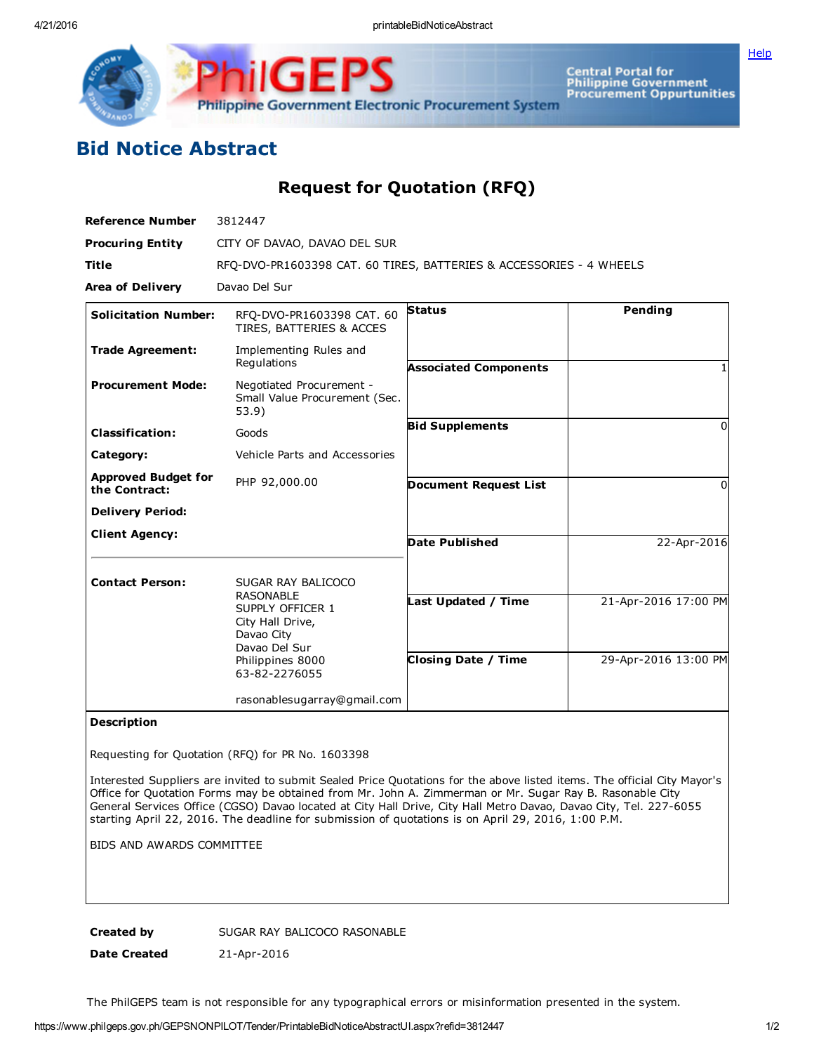Central Portal for<br>Philippine Government<br>Procurement Oppurtunities Philippine Government Electronic Procurement System

## Bid Notice Abstract

Request for Quotation (RFQ)

| <b>Reference Number</b>                     | 3812447                                                                                                                                            |                                                   |                                              |
|---------------------------------------------|----------------------------------------------------------------------------------------------------------------------------------------------------|---------------------------------------------------|----------------------------------------------|
| <b>Procuring Entity</b>                     | CITY OF DAVAO, DAVAO DEL SUR                                                                                                                       |                                                   |                                              |
| <b>Title</b>                                | RFQ-DVO-PR1603398 CAT. 60 TIRES, BATTERIES & ACCESSORIES - 4 WHEELS                                                                                |                                                   |                                              |
| <b>Area of Delivery</b>                     | Davao Del Sur                                                                                                                                      |                                                   |                                              |
| <b>Solicitation Number:</b>                 | RFO-DVO-PR1603398 CAT. 60<br>TIRES, BATTERIES & ACCES                                                                                              | <b>Status</b>                                     | Pending                                      |
| <b>Trade Agreement:</b>                     | Implementing Rules and<br>Regulations                                                                                                              | <b>Associated Components</b>                      |                                              |
| <b>Procurement Mode:</b>                    | Negotiated Procurement -<br>Small Value Procurement (Sec.<br>53.9)                                                                                 |                                                   |                                              |
| <b>Classification:</b>                      | Goods                                                                                                                                              | <b>Bid Supplements</b>                            | 0                                            |
| Category:                                   | Vehicle Parts and Accessories                                                                                                                      |                                                   |                                              |
| <b>Approved Budget for</b><br>the Contract: | PHP 92,000.00                                                                                                                                      | <b>Document Request List</b>                      | <sup>0</sup>                                 |
| <b>Delivery Period:</b>                     |                                                                                                                                                    |                                                   |                                              |
| <b>Client Agency:</b>                       |                                                                                                                                                    | <b>Date Published</b>                             | 22-Apr-2016                                  |
| <b>Contact Person:</b>                      | SUGAR RAY BALICOCO<br><b>RASONABLE</b><br>SUPPLY OFFICER 1<br>City Hall Drive,<br>Davao City<br>Davao Del Sur<br>Philippines 8000<br>63-82-2276055 | Last Updated / Time<br><b>Closing Date / Time</b> | 21-Apr-2016 17:00 PM<br>29-Apr-2016 13:00 PM |
|                                             | rasonablesugarray@gmail.com                                                                                                                        |                                                   |                                              |

## Description

Requesting for Quotation (RFQ) for PR No. 1603398

Interested Suppliers are invited to submit Sealed Price Quotations for the above listed items. The official City Mayor's Office for Quotation Forms may be obtained from Mr. John A. Zimmerman or Mr. Sugar Ray B. Rasonable City General Services Office (CGSO) Davao located at City Hall Drive, City Hall Metro Davao, Davao City, Tel. 227-6055 starting April 22, 2016. The deadline for submission of quotations is on April 29, 2016, 1:00 P.M.

BIDS AND AWARDS COMMITTEE

Created by SUGAR RAY BALICOCO RASONABLE

Date Created 21-Apr-2016

The PhilGEPS team is not responsible for any typographical errors or misinformation presented in the system.

**[Help](javascript:void(window.open()**